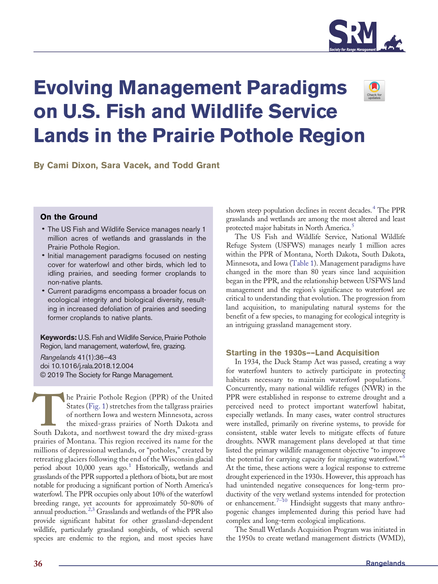

# Evolving Management Paradigms on U.S. Fish and Wildlife Service Lands in the Prairie Pothole Region



By Cami Dixon, Sara Vacek, and Todd Grant

# On the Ground

- The US Fish and Wildlife Service manages nearly 1 million acres of wetlands and grasslands in the Prairie Pothole Region.
- Initial management paradigms focused on nesting cover for waterfowl and other birds, which led to idling prairies, and seeding former croplands to non-native plants.
- Current paradigms encompass a broader focus on ecological integrity and biological diversity, resulting in increased defoliation of prairies and seeding former croplands to native plants.

Keywords: U.S. Fish and Wildlife Service, Prairie Pothole Region, land management, waterfowl, fire, grazing.

Rangelands 41(1):36—43 doi 10.1016/j.rala.2018.12.004 © 2019 The Society for Range Management.

The Prairie Pothole Region (PPR) of the United<br>States (Fig. 1) stretches from the tallgrass prairies<br>of northern Iowa and western Minnesota, across<br>the mixed-grass prairies of North Dakota and<br>South Dakota, and northwest t States ([Fig. 1](#page-1-0)) stretches from the tallgrass prairies of northern Iowa and western Minnesota, across the mixed-grass prairies of North Dakota and prairies of Montana. This region received its name for the millions of depressional wetlands, or "potholes," created by retreating glaciers following the end of the Wisconsin glacial period about 10,000 years ago[.](#page-5-0)<sup>[1](#page-5-0)</sup> Historically, wetlands and grasslands of the PPR supported a plethora of biota, but are most notable for producing a significant portion of North America's waterfowl. The PPR occupies only about 10% of the waterfowl breeding range, yet accounts for approximately 50–80% of annual production[.](#page-5-0)<sup>[2,3](#page-5-0)</sup> Grasslands and wetlands of the PPR also provide significant habitat for other grassland-dependent wildlife, particularly grassland songbirds, of which several species are endemic to the region, and most species have

shown steep population declines in recent decades[.](#page-5-0)<sup>[4](#page-5-0)</sup> The PPR grasslands and wetlands are among the most altered and least protected major habitats in North America[.](#page-6-0)<sup>[5](#page-6-0)</sup>

The US Fish and Wildlife Service, National Wildlife Refuge System (USFWS) manages nearly 1 million acres within the PPR of Montana, North Dakota, South Dakota, Minnesota, and Iowa ([Table 1\)](#page-1-0). Management paradigms have changed in the more than 80 years since land acquisition began in the PPR, and the relationship between USFWS land management and the region's significance to waterfowl are critical to understanding that evolution. The progression from land acquisition, to manipulating natural systems for the benefit of a few species, to managing for ecological integrity is an intriguing grassland management story.

## Starting in the 1930s––Land Acquisition

In 1934, the Duck Stamp Act was passed, creating a way for waterfowl hunters to actively participate in protecting habitats necessary to maintain waterfowl populations[.](#page-5-0)<sup>[3](#page-5-0)</sup> Concurrently, many national wildlife refuges (NWR) in the PPR were established in response to extreme drought and a perceived need to protect important waterfowl habitat, especially wetlands. In many cases, water control structures were installed, primarily on riverine systems, to provide for consistent, stable water levels to mitigate effects of future droughts. NWR management plans developed at that time listed the primary wildlife management objective "to improve the potential for carrying capacity for migrating waterfowl.["](#page-6-0)<sup>[6](#page-6-0)</sup> At the time, these actions were a logical response to extreme drought experienced in the 1930s. However, this approach has had unintended negative consequences for long-term productivity of the very wetland systems intended for protection or enhancement[.](#page-6-0)<sup>7–[10](#page-6-0)</sup> Hindsight suggests that many anthropogenic changes implemented during this period have had complex and long-term ecological implications.

The Small Wetlands Acquisition Program was initiated in the 1950s to create wetland management districts (WMD),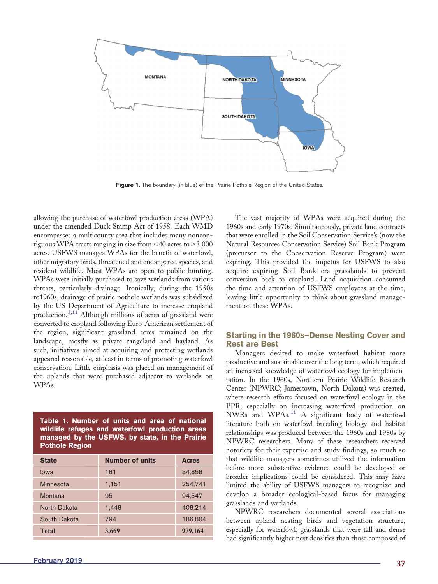<span id="page-1-0"></span>

Figure 1. The boundary (in blue) of the Prairie Pothole Region of the United States.

allowing the purchase of waterfowl production areas (WPA) under the amended Duck Stamp Act of 1958. Each WMD encompasses a multicounty area that includes many noncontiguous WPA tracts ranging in size from  $\leq 40$  acres to  $\geq 3,000$ acres. USFWS manages WPAs for the benefit of waterfowl, other migratory birds, threatened and endangered species, and resident wildlife. Most WPAs are open to public hunting. WPAs were initially purchased to save wetlands from various threats, particularly drainage. Ironically, during the 1950s to1960s, drainage of prairie pothole wetlands was subsidized by the US Department of Agriculture to increase cropland production[.](#page-5-0)[3,11](#page-5-0) Although millions of acres of grassland were converted to cropland following Euro-American settlement of the region, significant grassland acres remained on the landscape, mostly as private rangeland and hayland. As such, initiatives aimed at acquiring and protecting wetlands appeared reasonable, at least in terms of promoting waterfowl conservation. Little emphasis was placed on management of the uplands that were purchased adjacent to wetlands on WPAs.

Table 1. Number of units and area of national wildlife refuges and waterfowl production areas managed by the USFWS, by state, in the Prairie Pothole Region

| <b>State</b> | <b>Number of units</b> | <b>Acres</b> |
|--------------|------------------------|--------------|
| lowa         | 181                    | 34,858       |
| Minnesota    | 1,151                  | 254,741      |
| Montana      | 95                     | 94,547       |
| North Dakota | 1,448                  | 408,214      |
| South Dakota | 794                    | 186,804      |
| <b>Total</b> | 3,669                  | 979,164      |

The vast majority of WPAs were acquired during the 1960s and early 1970s. Simultaneously, private land contracts that were enrolled in the Soil Conservation Service's (now the Natural Resources Conservation Service) Soil Bank Program (precursor to the Conservation Reserve Program) were expiring. This provided the impetus for USFWS to also acquire expiring Soil Bank era grasslands to prevent conversion back to cropland. Land acquisition consumed the time and attention of USFWS employees at the time, leaving little opportunity to think about grassland management on these WPAs.

# Starting in the 1960s—Dense Nesting Cover and Rest are Best

Managers desired to make waterfowl habitat more productive and sustainable over the long term, which required an increased knowledge of waterfowl ecology for implementation. In the 1960s, Northern Prairie Wildlife Research Center (NPWRC; Jamestown, North Dakota) was created, where research efforts focused on waterfowl ecology in the PPR, especially on increasing waterfowl production on NWRs and WPAs[.](#page-6-0) $^{11}$  $^{11}$  $^{11}$  A significant body of waterfowl literature both on waterfowl breeding biology and habitat relationships was produced between the 1960s and 1980s by NPWRC researchers. Many of these researchers received notoriety for their expertise and study findings, so much so that wildlife managers sometimes utilized the information before more substantive evidence could be developed or broader implications could be considered. This may have limited the ability of USFWS managers to recognize and develop a broader ecological-based focus for managing grasslands and wetlands.

NPWRC researchers documented several associations between upland nesting birds and vegetation structure, especially for waterfowl; grasslands that were tall and dense had significantly higher nest densities than those composed of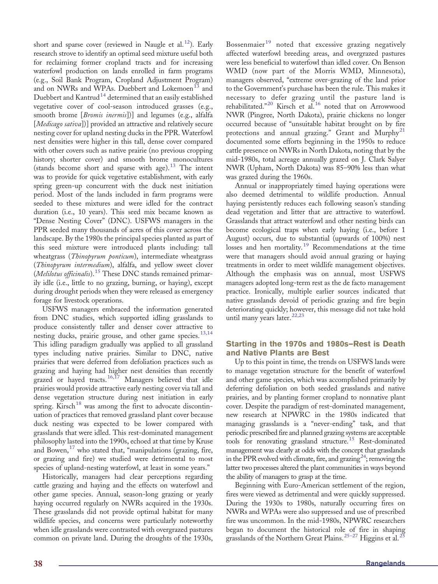short and sparse cover (reviewed in Naugle et al[.](#page-6-0)<sup>12</sup>). Early research strove to identify an optimal seed mixture useful both for reclaiming former cropland tracts and for increasing waterfowl production on lands enrolled in farm programs (e.g., Soil Bank Program, Cropland Adjustment Program) a[n](#page-6-0)d on NWRs and WPAs. Duebbert and Lokemoen<sup>[13](#page-6-0)</sup> and Duebbert an[d](#page-6-0) Kantrud<sup>[14](#page-6-0)</sup> determined that an easily established vegetative cover of cool-season introduced grasses (e.g., smooth brome [*Bromis inermis*])] and legumes (e.g., alfalfa [*Medicago sativa*])] provided an attractive and relatively secure nesting cover for upland nesting ducks in the PPR. Waterfowl nest densities were higher in this tall, dense cover compared with other covers such as native prairie (no previous cropping history; shorter cover) and smooth brome monocultures (stands become short and sparse with age)[.](#page-6-0)<sup>[13](#page-6-0)</sup> The intent was to provide for quick vegetative establishment, with early spring green-up concurrent with the duck nest initiation period. Most of the lands included in farm programs were seeded to these mixtures and were idled for the contract duration (i.e., 10 years). This seed mix became known as "Dense Nesting Cover" (DNC). USFWS managers in the PPR seeded many thousands of acres of this cover across the landscape. By the 1980s the principal species planted as part of this seed mixture were introduced plants including: tall wheatgrass (Thinopyrum ponticum), intermediate wheatgrass (Thinopyrum intermedium), alfalfa, and yellow sweet clover (*Melilotus officinalis*)[.](#page-6-0)<sup>[15](#page-6-0)</sup> These DNC stands remained primarily idle (i.e., little to no grazing, burning, or haying), except during drought periods when they were released as emergency forage for livestock operations.

USFWS managers embraced the information generated from DNC studies, which supported idling grasslands to produce consistently taller and denser cover attractive to nesting ducks, prairie grouse, and other game species[.](#page-6-0)<sup>[13,14](#page-6-0)</sup> This idling paradigm gradually was applied to all grassland types including native prairies. Similar to DNC, native prairies that were deferred from defoliation practices such as grazing and haying had higher nest densities than recently grazed or hayed tracts[.](#page-6-0)<sup>[16,17](#page-6-0)</sup> Managers believed that idle prairies would provide attractive early nesting cover via tall and dense vegetation structure during nest initiation in early spring. Kirsc[h](#page-6-0)<sup>[18](#page-6-0)</sup> was among the first to advocate discontinuation of practices that removed grassland plant cover because duck nesting was expected to be lower compared with grasslands that were idled. This rest-dominated management philosophy lasted into the 1990s, echoed at that time by Kruse and Bowen[,](#page-6-0) $^{17}$  $^{17}$  $^{17}$  who stated that, "manipulations (grazing, fire, or grazing and fire) we studied were detrimental to most species of upland-nesting waterfowl, at least in some years."

Historically, managers had clear perceptions regarding cattle grazing and haying and the effects on waterfowl and other game species. Annual, season-long grazing or yearly haying occurred regularly on NWRs acquired in the 1930s. These grasslands did not provide optimal habitat for many wildlife species, and concerns were particularly noteworthy when idle grasslands were contrasted with overgrazed pastures common on private land. During the droughts of the 1930s,

Bossenmaie[r](#page-6-0)<sup>[19](#page-6-0)</sup> noted that excessive grazing negatively affected waterfowl breeding areas, and overgrazed pastures were less beneficial to waterfowl than idled cover. On Benson WMD (now part of the Morris WMD, Minnesota), managers observed, "extreme over-grazing of the land prior to the Government's purchase has been the rule. This makes it necessary to defer grazing until the pasture land is rehabilitated.["](#page-6-0)<sup>[20](#page-6-0)</sup> Kirsch et al[.](#page-6-0)<sup>[16](#page-6-0)</sup> noted that on Arrowwood NWR (Pingree, North Dakota), prairie chickens no longer occurred because of "unsuitable habitat brought on by fire protections and annual grazing." Grant and  $Murphy<sup>21</sup>$  $Murphy<sup>21</sup>$  $Murphy<sup>21</sup>$  $Murphy<sup>21</sup>$  $Murphy<sup>21</sup>$ documented some efforts beginning in the 1950s to reduce cattle presence on NWRs in North Dakota, noting that by the mid-1980s, total acreage annually grazed on J. Clark Salyer NWR (Upham, North Dakota) was 85–90% less than what was grazed during the 1960s.

Annual or inappropriately timed haying operations were also deemed detrimental to wildlife production. Annual haying persistently reduces each following season's standing dead vegetation and litter that are attractive to waterfowl. Grasslands that attract waterfowl and other nesting birds can become ecological traps when early haying (i.e., before 1 August) occurs, due to substantial (upwards of 100%) nest losses and hen mortality[.](#page-6-0)<sup>[19](#page-6-0)</sup> Recommendations at the time were that managers should avoid annual grazing or haying treatments in order to meet wildlife management objectives. Although the emphasis was on annual, most USFWS managers adopted long-term rest as the de facto management practice. Ironically, multiple earlier sources indicated that native grasslands devoid of periodic grazing and fire begin deteriorating quickly; however, this message did not take hold until many years later[.](#page-6-0) $22,23$ 

# Starting in the 1970s and 1980s—Rest is Death and Native Plants are Best

Up to this point in time, the trends on USFWS lands were to manage vegetation structure for the benefit of waterfowl and other game species, which was accomplished primarily by deferring defoliation on both seeded grasslands and native prairies, and by planting former cropland to nonnative plant cover. Despite the paradigm of rest-dominated management, new research at NPWRC in the 1980s indicated that managing grasslands is a "never-ending" task, and that periodic prescribed fire and planned grazing systems are acceptable tools for renovating grassland structure[.](#page-6-0)[15](#page-6-0) Rest-dominated management was clearly at odds with the concept that grasslands in the PPR evolved with climate, fire, and [g](#page-6-0)razing<sup>[24](#page-6-0)</sup>; removing the latter two processes altered the plant communities in ways beyond the ability of managers to grasp at the time.

Beginning with Euro-American settlement of the region, fires were viewed as detrimental and were quickly suppressed. During the 1930s to 1980s, naturally occurring fires on NWRs and WPAs were also suppressed and use of prescribed fire was uncommon. In the mid-1980s, NPWRC researchers began to document the historical rol[e of](#page-6-0) fire in shaping grasslands of the Northern Great Plains[.](#page-6-0)<sup>[25](#page-6-0)–27</sup> Higgins et al.<sup>25</sup>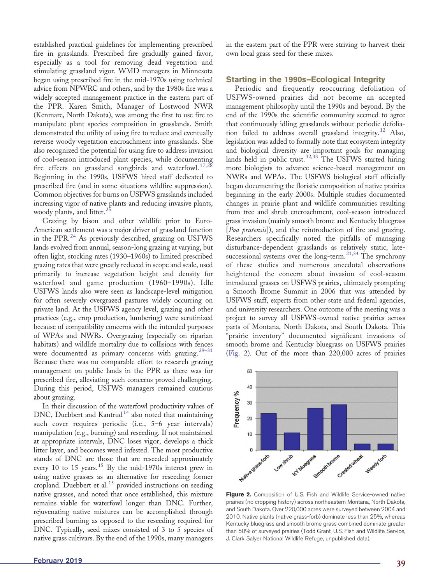established practical guidelines for implementing prescribed fire in grasslands. Prescribed fire gradually gained favor, especially as a tool for removing dead vegetation and stimulating grassland vigor. WMD managers in Minnesota began using prescribed fire in the mid-1970s using technical advice from NPWRC and others, and by the 1980s fire was a widely accepted management practice in the eastern part of the PPR. Karen Smith, Manager of Lostwood NWR (Kenmare, North Dakota), was among the first to use fire to manipulate plant species composition in grasslands. Smith demonstrated the utility of using fire to reduce and eventually reverse woody vegetation encroachment into grasslands. She also recognized the potential for using fire to address invasion of cool-season introduced plant species, while documenting fire effects on grassland songbirds and waterfowl[.](#page-6-0)<sup>[17,28](#page-6-0)</sup> Beginning in the 1990s, USFWS hired staff dedicated to prescribed fire (and in some situations wildfire suppression). Common objectives for burns on USFWS grasslands included increasing vigor of native plants and reducing invasive plants, woody plants, and litter[.](#page-6-0)<sup>[25](#page-6-0)</sup>

Grazing by bison and other wildlife prior to Euro-American settlement was a major driver of grassland function in the PPR[.](#page-6-0)<sup>[24](#page-6-0)</sup> As previously described, grazing on USFWS lands evolved from annual, season-long grazing at varying, but often light, stocking rates (1930–1960s) to limited prescribed grazing rates that were greatly reduced in scope and scale, used primarily to increase vegetation height and density for waterfowl and game production (1960–1990s). Idle USFWS lands also were seen as landscape-level mitigation for often severely overgrazed pastures widely occurring on private land. At the USFWS agency level, grazing and other practices (e.g., crop production, lumbering) were scrutinized because of compatibility concerns with the intended purposes of WPAs and NWRs. Overgrazing (especially on riparian habitats) and wildlife mortality due to collisions with f[ences](#page-6-0) were documented as primary concerns with grazing[.](#page-6-0)<sup>29–31</sup> Because there was no comparable effort to research grazing management on public lands in the PPR as there was for prescribed fire, alleviating such concerns proved challenging. During this period, USFWS managers remained cautious about grazing.

In their discussion of the waterfowl productivity values of  $DNC$ , Duebbert an[d](#page-6-0) Kantrud<sup>[14](#page-6-0)</sup> also noted that maintaining such cover requires periodic (i.e., 5–6 year intervals) manipulation (e.g., burning) and reseeding. If not maintained at appropriate intervals, DNC loses vigor, develops a thick litter layer, and becomes weed infested. The most productive stands of DNC are those that are reseeded approximately every 10 to 15 years[.](#page-6-0)<sup>[15](#page-6-0)</sup> By the mid-1970s interest grew in using native grasses as an alternative for reseeding former cropland[.](#page-6-0) Duebbert et al.<sup>[15](#page-6-0)</sup> provided instructions on seeding native grasses, and noted that once established, this mixture remains viable for waterfowl longer than DNC. Further, rejuvenating native mixtures can be accomplished through prescribed burning as opposed to the reseeding required for DNC. Typically, seed mixes consisted of 3 to 5 species of native grass cultivars. By the end of the 1990s, many managers

in the eastern part of the PPR were striving to harvest their own local grass seed for these mixes.

#### Starting in the 1990s—Ecological Integrity

Periodic and frequently reoccurring defoliation of USFWS-owned prairies did not become an accepted management philosophy until the 1990s and beyond. By the end of the 1990s the scientific community seemed to agree that continuously idling grasslands without periodic defolia-tion failed to address overall grassland integrity[.](#page-6-0)<sup>[12](#page-6-0)</sup> Also, legislation was added to formally note that ecosystem integrity and biological diversity are important goals for managing lands held in public trust[.](#page-6-0)<sup>[32,33](#page-6-0)</sup> The USFWS started hiring more biologists to advance science-based management on NWRs and WPAs. The USFWS biological staff officially began documenting the floristic composition of native prairies beginning in the early 2000s. Multiple studies documented changes in prairie plant and wildlife communities resulting from tree and shrub encroachment, cool-season introduced grass invasion (mainly smooth brome and Kentucky bluegrass [Poa pratensis]), and the reintroduction of fire and grazing. Researchers specifically noted the pitfalls of managing disturbance-dependent grasslands as relatively static, late-successional systems over the long-term[.](#page-6-0)<sup>[21,34](#page-6-0)</sup> The synchrony of these studies and numerous anecdotal observations heightened the concern about invasion of cool-season introduced grasses on USFWS prairies, ultimately prompting a Smooth Brome Summit in 2006 that was attended by USFWS staff, experts from other state and federal agencies, and university researchers. One outcome of the meeting was a project to survey all USFWS-owned native prairies across parts of Montana, North Dakota, and South Dakota. This "prairie inventory" documented significant invasions of smooth brome and Kentucky bluegrass on USFWS prairies (Fig. 2). Out of the more than 220,000 acres of prairies



Figure 2. Composition of U.S. Fish and Wildlife Service-owned native prairies (no cropping history) across northeastern Montana, North Dakota, and South Dakota. Over 220,000 acres were surveyed between 2004 and 2010. Native plants (native grass-forb) dominate less than 25%, whereas Kentucky bluegrass and smooth brome grass combined dominate greater than 50% of surveyed prairies (Todd Grant, U.S. Fish and Wildlife Service, J. Clark Salyer National Wildlife Refuge, unpublished data).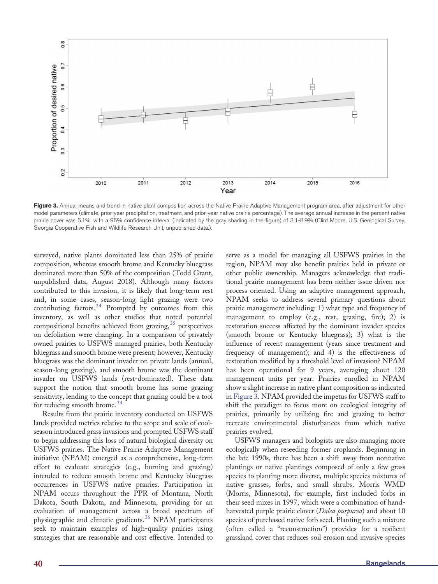

Figure 3. Annual means and trend in native plant composition across the Native Prairie Adaptive Management program area, after adjustment for other model parameters (climate, prior-year precipitation, treatment, and prior-year native prairie percentage). The average annual increase in the percent native prairie cover was 6.1%, with a 95% confidence interval (indicated by the gray shading in the figure) of 3.1-8.9% (Clint Moore, U.S. Geological Survey, Georgia Cooperative Fish and Wildlife Research Unit, unpublished data.).

surveyed, native plants dominated less than 25% of prairie composition, whereas smooth brome and Kentucky bluegrass dominated more than 50% of the composition (Todd Grant, unpublished data, August 2018). Although many factors contributed to this invasion, it is likely that long-term rest and, in some cases, season-long light grazing were two contributing factors[.](#page-6-0)<sup>[34](#page-6-0)</sup> Prompted by outcomes from this inventory, as well as other studies that noted potential compositional benefits achieved from grazing[,](#page-6-0)  $35$  perspectives on defoliation were changing. In a comparison of privately owned prairies to USFWS managed prairies, both Kentucky bluegrass and smooth brome were present; however, Kentucky bluegrass was the dominant invader on private lands (annual, season-long grazing), and smooth brome was the dominant invader on USFWS lands (rest-dominated). These data support the notion that smooth brome has some grazing sensitivity, lending to the concept that grazing could be a tool for reducing smooth brome[.](#page-6-0)<sup>[34](#page-6-0)</sup>

Results from the prairie inventory conducted on USFWS lands provided metrics relative to the scope and scale of coolseason introduced grass invasions and prompted USFWS staff to begin addressing this loss of natural biological diversity on USFWS prairies. The Native Prairie Adaptive Management initiative (NPAM) emerged as a comprehensive, long-term effort to evaluate strategies (e.g., burning and grazing) intended to reduce smooth brome and Kentucky bluegrass occurrences in USFWS native prairies. Participation in NPAM occurs throughout the PPR of Montana, North Dakota, South Dakota, and Minnesota, providing for an evaluation of management across a broad spectrum of physiographic and climatic gradients[.](#page-6-0)<sup>[36](#page-6-0)</sup> NPAM participants seek to maintain examples of high-quality prairies using strategies that are reasonable and cost effective. Intended to

serve as a model for managing all USFWS prairies in the region, NPAM may also benefit prairies held in private or other public ownership. Managers acknowledge that traditional prairie management has been neither issue driven nor process oriented. Using an adaptive management approach, NPAM seeks to address several primary questions about prairie management including: 1) what type and frequency of management to employ (e.g., rest, grazing, fire); 2) is restoration success affected by the dominant invader species (smooth brome or Kentucky bluegrass); 3) what is the influence of recent management (years since treatment and frequency of management); and 4) is the effectiveness of restoration modified by a threshold level of invasion? NPAM has been operational for 9 years, averaging about 120 management units per year. Prairies enrolled in NPAM show a slight increase in native plant composition as indicated in Figure 3. NPAM provided the impetus for USFWS staff to shift the paradigm to focus more on ecological integrity of prairies, primarily by utilizing fire and grazing to better recreate environmental disturbances from which native prairies evolved.

USFWS managers and biologists are also managing more ecologically when reseeding former croplands. Beginning in the late 1990s, there has been a shift away from nonnative plantings or native plantings composed of only a few grass species to planting more diverse, multiple species mixtures of native grasses, forbs, and small shrubs. Morris WMD (Morris, Minnesota), for example, first included forbs in their seed mixes in 1997, which were a combination of handharvested purple prairie clover (Dalea purpurea) and about 10 species of purchased native forb seed. Planting such a mixture (often called a "reconstruction") provides for a resilient grassland cover that reduces soil erosion and invasive species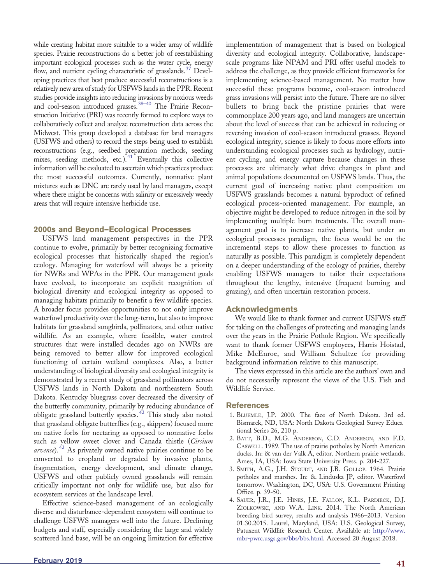<span id="page-5-0"></span>while creating habitat more suitable to a wider array of wildlife species. Prairie reconstructions do a better job of reestablishing important ecological processes such as the water cycle, energy flow, and nutrient cycling characteristic of grasslands[.](#page-6-0)<sup>[37](#page-6-0)</sup> Developing practices that best produce successful reconstructions is a relatively new area of study for USFWS lands in the PPR. Recent studies provide insights into reducing invasions by noxious weeds and cool-season introduced grasses[.](#page-6-0)<sup>[38](#page-6-0)-40</sup> The Prairie Reconstruction Initiative (PRI) was recently formed to explore ways to collaboratively collect and analyze reconstruction data across the Midwest. This group developed a database for land managers (USFWS and others) to record the steps being used to establish reconstructions (e.g., seedbed preparation methods, seeding mixes, seeding methods, etc[.](#page-7-0)).<sup>[41](#page-7-0)</sup> Eventually this collective information will be evaluated to ascertain which practices produce the most successful outcomes. Currently, nonnative plant mixtures such as DNC are rarely used by land managers, except where there might be concerns with salinity or excessively weedy areas that will require intensive herbicide use.

## 2000s and Beyond—Ecological Processes

USFWS land management perspectives in the PPR continue to evolve, primarily by better recognizing formative ecological processes that historically shaped the region's ecology. Managing for waterfowl will always be a priority for NWRs and WPAs in the PPR. Our management goals have evolved, to incorporate an explicit recognition of biological diversity and ecological integrity as opposed to managing habitats primarily to benefit a few wildlife species. A broader focus provides opportunities to not only improve waterfowl productivity over the long-term, but also to improve habitats for grassland songbirds, pollinators, and other native wildlife. As an example, where feasible, water control structures that were installed decades ago on NWRs are being removed to better allow for improved ecological functioning of certain wetland complexes. Also, a better understanding of biological diversity and ecological integrity is demonstrated by a recent study of grassland pollinators across USFWS lands in North Dakota and northeastern South Dakota. Kentucky bluegrass cover decreased the diversity of the butterfly community, primarily by reducing abundance of obligate grassland butterfly species[.](#page-7-0)<sup>[42](#page-7-0)</sup> This study also noted that grassland obligate butterflies (e.g., skippers) focused more on native forbs for nectaring as opposed to nonnative forbs such as yellow sweet clover and Canada thistle (Cirsium *arvense*)[.](#page-7-0)<sup>[42](#page-7-0)</sup> As privately owned native prairies continue to be converted to cropland or degraded by invasive plants, fragmentation, energy development, and climate change, USFWS and other publicly owned grasslands will remain critically important not only for wildlife use, but also for ecosystem services at the landscape level.

Effective science-based management of an ecologically diverse and disturbance-dependent ecosystem will continue to challenge USFWS managers well into the future. Declining budgets and staff, especially considering the large and widely scattered land base, will be an ongoing limitation for effective

diversity and ecological integrity. Collaborative, landscapescale programs like NPAM and PRI offer useful models to address the challenge, as they provide efficient frameworks for implementing science-based management. No matter how successful these programs become, cool-season introduced grass invasions will persist into the future. There are no silver bullets to bring back the pristine prairies that were commonplace 200 years ago, and land managers are uncertain about the level of success that can be achieved in reducing or reversing invasion of cool-season introduced grasses. Beyond ecological integrity, science is likely to focus more efforts into understanding ecological processes such as hydrology, nutrient cycling, and energy capture because changes in these processes are ultimately what drive changes in plant and animal populations documented on USFWS lands. Thus, the current goal of increasing native plant composition on USFWS grasslands becomes a natural byproduct of refined ecological process-oriented management. For example, an objective might be developed to reduce nitrogen in the soil by implementing multiple burn treatments. The overall management goal is to increase native plants, but under an ecological processes paradigm, the focus would be on the incremental steps to allow these processes to function as naturally as possible. This paradigm is completely dependent on a deeper understanding of the ecology of prairies, thereby enabling USFWS managers to tailor their expectations throughout the lengthy, intensive (frequent burning and grazing), and often uncertain restoration process.

implementation of management that is based on biological

## Acknowledgments

We would like to thank former and current USFWS staff for taking on the challenges of protecting and managing lands over the years in the Prairie Pothole Region. We specifically want to thank former USFWS employees, Harris Hoistad, Mike McEnroe, and William Schultze for providing background information relative to this manuscript.

The views expressed in this article are the authors' own and do not necessarily represent the views of the U.S. Fish and Wildlife Service.

#### References

- 1. BLUEMLE, J.P. 2000. The face of North Dakota. 3rd ed. Bismarck, ND, USA: North Dakota Geological Survey Educational Series 26, 210 p.
- 2. BATT, B.D., M.G. ANDERSON, C.D. ANDERSON, AND F.D. CASWELL. 1989. The use of prairie potholes by North American ducks. In: & van der Valk A, editor. Northern prairie wetlands. Ames, IA, USA: Iowa State University Press. p. 204-227.
- 3. SMITH, A.G., J.H. STOUDT, AND J.B. GOLLOP. 1964. Prairie potholes and marshes. In: & Linduska JP, editor. Waterfowl tomorrow. Washington, DC, USA: U.S. Government Printing Office. p. 39-50.
- 4. SAUER, J.R., J.E. HINES, J.E. FALLON, K.L. PARDIECK, D.J. ZIOLKOWSKI, AND W.A. LINK. 2014. The North American breeding bird survey, results and analysis 1966–2013. Version 01.30.2015. Laurel, Maryland, USA: U.S. Geological Survey, Patuxent Wildlife Research Center. Available at: [http://www.](http://www.mbr-pwrc.usgs.gov/bbs/bbs.html) [mbr-pwrc.usgs.gov/bbs/bbs.html](http://www.mbr-pwrc.usgs.gov/bbs/bbs.html). Accessed 20 August 2018.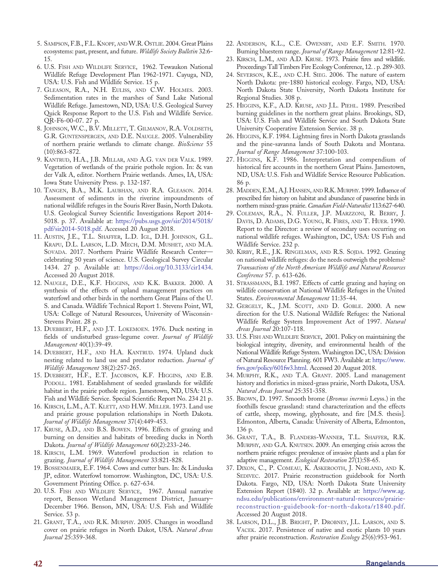- <span id="page-6-0"></span>5. SAMPSON, F.B., F.L. KNOPF, ANDW.R. OSTLIE. 2004. Great Plains ecosystems: past, present, and future. Wildlife Society Bulletin 32:6- 15.
- 6. U.S. FISH AND WILDLIFE SERVICE, 1962. Tewaukon National Wildlife Refuge Development Plan 1962-1971. Cayuga, ND, USA: U.S. Fish and Wildlife Service. 15 p.
- 7. GLEASON, R.A., N.H. EULISS, AND C.W. HOLMES. 2003. Sedimentation rates in the marshes of Sand Lake National Wildlife Refuge. Jamestown, ND, USA: U.S. Geological Survey Quick Response Report to the U.S. Fish and Wildlife Service. QR-F6-00-07. 27 p.
- 8. JOHNSON, W.C., B.V. MILLETT, T. GILMANOV, R.A. VOLDSETH, G.R. GUNTENSPERGEN, AND D.E. NAUGLE. 2005. Vulnerability of northern prairie wetlands to climate change. BioScience 55 (10):863-872.
- 9. KANTRUD, H.A., J.B. MILLAR, AND A.G. VAN DER VALK. 1989. Vegetation of wetlands of the prairie pothole region. In: & van der Valk A, editor. Northern Prairie wetlands. Ames, IA, USA: Iowa State University Press. p. 132-187.
- 10. TANGEN, B.A., M.K. LAUBHAN, AND R.A. GLEASON. 2014. Assessment of sediments in the riverine impoundments of national wildlife refuges in the Souris River Basin, North Dakota. U.S. Geological Survey Scientific Investigations Report 2014- 5018. p. 37. Available at: [https://pubs.usgs.gov/sir/2014/5018/](https://pubs.usgs.gov/sir/2014/5018/pdf/sir2014-5018.pdf) [pdf/sir2014-5018.pdf.](https://pubs.usgs.gov/sir/2014/5018/pdf/sir2014-5018.pdf) Accessed 20 August 2018.
- 11. AUSTIN, J.E., T.L. SHAFFER, L.D. IGL, D.H. JOHNSON, G.L. KRAPU, D.L. LARSON, L.D. MECH, D.M. MUSHET, AND M.A. SOVADA. 2017. Northern Prairie Wildlife Research Center celebrating 50 years of science. U.S. Geological Survey Circular 1434. 27 p. Available at: [https://doi.org/10.3133/cir1434](https://doi.org/). Accessed 20 August 2018.
- 12. NAUGLE, D.E., K.F. HIGGINS, AND K.K. BAKKER. 2000. A synthesis of the effects of upland management practices on waterfowl and other birds in the northern Great Plains of the U. S. and Canada. Wildlife Technical Report 1. Stevens Point, WI, USA: College of Natural Resources, University of Wisconsin-Stevens Point. 28 p.
- 13. DUEBBERT, H.F., AND J.T. LOKEMOEN. 1976. Duck nesting in fields of undisturbed grass-legume cover. Journal of Wildlife Management 40(1):39-49.
- 14. DUEBBERT, H.F., AND H.A. KANTRUD. 1974. Upland duck nesting related to land use and predator reduction. Journal of Wildlife Management 38(2):257-265.
- 15. DUEBBERT, H.F., E.T. JACOBSON, K.F. HIGGINS, AND E.B. PODOLL. 1981. Establishment of seeded grasslands for wildlife habitat in the prairie pothole region. Jamestown, ND, USA: U.S. Fish and Wildlife Service. Special Scientific Report No. 234 21 p.
- 16. KIRSCH, L.M., A.T. KLETT, AND H.W. MILLER. 1973. Land use and prairie grouse population relationships in North Dakota. Journal of Wildlife Management 37(4):449-453.
- 17. KRUSE, A.D., AND B.S. BOWEN. 1996. Effects of grazing and burning on densities and habitats of breeding ducks in North Dakota. Journal of Wildlife Management 60(2):233-246.
- 18. KIRSCH, L.M. 1969. Waterfowl production in relation to grazing. Journal of Wildlife Management 33:821-828.
- 19. BOSSENMAIER, E.F. 1964. Cows and cutter bars. In: & Linduska JP, editor. Waterfowl tomorrow. Washington, DC, USA: U.S. Government Printing Office. p. 627-634.
- 20. U.S. FISH AND WILDLIFE SERVICE, 1967. Annual narrative report, Benson Wetland Management District, January– December 1966. Benson, MN, USA: U.S. Fish and Wildlife Service. 53 p.
- 21. GRANT, T.A., AND R.K. MURPHY. 2005. Changes in woodland cover on prairie refuges in North Dakot, USA. Natural Areas Journal 25:359-368.
- 22. ANDERSON, K.L., C.E. OWENSBY, AND E.F. SMITH. 1970. Burning bluestem range. Journal of Range Management 12:81-92.
- 23. KIRSCH, L.M., AND A.D. KRUSE. 1973. Prairie fires and wildlife. Proceedings Tall Timbers Fire Ecology Conference, 12. . p. 289-303.
- 24. SEVERSON, K.E., AND C.H. SIEG. 2006. The nature of eastern North Dakota: pre-1880 historical ecology. Fargo, ND, USA: North Dakota State University, North Dakota Institute for Regional Studies. 308 p.
- 25. HIGGINS, K.F., A.D. KRUSE, AND J.L. PIEHL. 1989. Prescribed burning guidelines in the northern great plains. Brookings, SD, USA: U.S. Fish and Wildlife Service and South Dakota State University Cooperative Extension Service. 38 p.
- 26. HIGGINS, K.F. 1984. Lightning fires in North Dakota grasslands and the pine-savanna lands of South Dakota and Montana. Journal of Range Management 37:100-103.
- 27. HIGGINS, K.F. 1986. Interpretation and compendium of historical fire accounts in the northern Great Plains. Jamestown, ND, USA: U.S. Fish and Wildlife Service Resource Publication. 86 p.
- 28. MADDEN, E.M., A.J. HANSEN, AND R.K.MURPHY. 1999. Influence of prescribed fire history on habitat and abundance of passerine birds in northern mixed-grass prairie. Canadian Field-Naturalist 113:627-640.
- 29. COLEMAN, R.A., N. FULLER, J.P. MARZZONI, R. BERRY, J. DAVIS, D. ADAMS, D.G. YOUNG, R. FIRES, AND T. HUER. 1990. Report to the Director: a review of secondary uses occurring on national wildlife refuges. Washington, DC, USA: US Fish and Wildlife Service. 232 p.
- 30. KIRBY, R.E., J.K. RINGELMAN, AND R.S. SOJDA. 1992. Grazing on national wildlife refuges: do the needs outweigh the problems? Transactions of the North American Wildlife and Natural Resources Conference 57. p. 613-626.
- 31. STRASSMANN, B.I. 1987. Effects of cattle grazing and haying on wildlife conservation at National Wildlife Refuges in the United States. Environmental Management 11:35-44.
- 32. GERGELY, K., J.M. SCOTT, AND D. GOBLE. 2000. A new direction for the U.S. National Wildlife Refuges: the National Wildlife Refuge System Improvement Act of 1997. Natural Areas Journal 20:107-118.
- 33. U.S. FISH AND WILDLIFE SERVICE, 2001. Policy on maintaining the biological integrity, diversity, and environmental health of the National Wildlife Refuge System. Washington DC, USA: Division of Natural Resource Planning. 601 FW3. Available at: [https://www.](https://www.fws.gov/policy/601fw3.html.%20) [fws.gov/policy/601fw3.html](https://www.fws.gov/policy/601fw3.html.%20). Accessed 20 August 2018.
- 34. MURPHY, R.K., AND T.A. GRANT. 2005. Land management history and floristics in mixed-grass prairie, North Dakota, USA. Natural Areas Journal 25:351-358.
- 35. BROWN, D. 1997. Smooth brome (Bromus inermis Leyss.) in the foothills fescue grassland: stand characterization and the effects of cattle, sheep, mowing, glyphosate, and fire [M.S. thesis]. Edmonton, Alberta, Canada: University of Alberta, Edmonton, 136 p.
- 36. GRANT, T.A., B. FLANDERS-WANNER, T.L. SHAFFER, R.K. MURPHY, AND G.A. KNUTSEN. 2009. An emerging crisis across the northern prairie refuges: prevalence of invasive plants and a plan for adaptive management. Ecological Restoration 27(1):58-65.
- 37. DIXON, C., P. COMEAU, K. ASKEROOTH, J. NORLAND, AND K. SEDIVEC. 2017. Prairie reconstruction guidebook for North Dakota. Fargo, ND, USA: North Dakota State University Extension Report (1840). 32 p. Available at: [https://www.ag.](https://www.ag.ndsu.edu/publications/environment-natural-resources/prairie-reconstruction-guidebook-for-north-dakota/r1840.pdf) [ndsu.edu/publications/environment-natural-resources/prairie](https://www.ag.ndsu.edu/publications/environment-natural-resources/prairie-reconstruction-guidebook-for-north-dakota/r1840.pdf)[reconstruction-guidebook-for-north-dakota/r1840.pdf](https://www.ag.ndsu.edu/publications/environment-natural-resources/prairie-reconstruction-guidebook-for-north-dakota/r1840.pdf). Accessed 20 August 2018.
- 38. LARSON, D.L., J.B. BRIGHT, P. DROBNEY, J.L. LARSON, AND S. VACEK. 2017. Persistence of native and exotic plants 10 years after prairie reconstruction. Restoration Ecology 25(6):953-961.